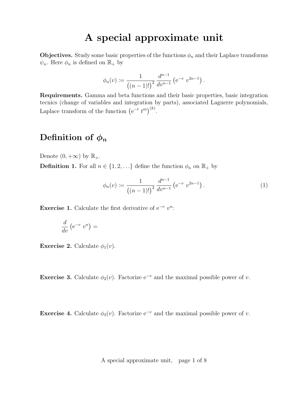## A special approximate unit

**Objectives.** Study some basic properties of the functions  $\phi_n$  and their Laplace transforms  $\psi_n$ . Here  $\phi_n$  is defined on  $\mathbb{R}_+$  by

$$
\phi_n(v) := \frac{1}{\left( (n-1)!\right)^2} \frac{d^{n-1}}{dv^{n-1}} \left( e^{-v} v^{2n-1} \right).
$$

Requirements. Gamma and beta functions and their basic properties, basic integration tecnics (change of variables and integration by parts), associated Laguerre polynomials, Laplace transform of the function  $(e^{-t} t^m)^{(k)}$ .

#### Definition of  $\phi_n$

Denote  $(0, +\infty)$  by  $\mathbb{R}_+$ .

**Definition 1.** For all  $n \in \{1, 2, ...\}$  define the function  $\phi_n$  on  $\mathbb{R}_+$  by

$$
\phi_n(v) := \frac{1}{\left( (n-1)!\right)^2} \frac{d^{n-1}}{dv^{n-1}} \left( e^{-v} v^{2n-1} \right). \tag{1}
$$

Exercise 1. Calculate the first derivative of  $e^{-v} v^n$ :

$$
\frac{d}{dv}\left(e^{-v}v^n\right) =
$$

**Exercise 2.** Calculate  $\phi_1(v)$ .

Exercise 3. Calculate  $\phi_2(v)$ . Factorize e<sup>-v</sup> and the maximal possible power of v.

Exercise 4. Calculate  $\phi_3(v)$ . Factorize e<sup>-v</sup> and the maximal possible power of v.

A special approximate unit, page 1 of 8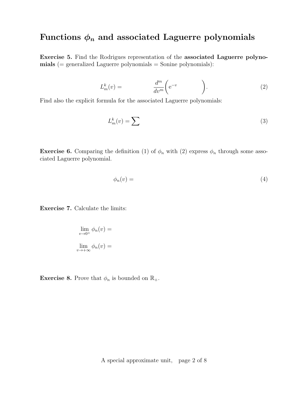### Functions  $\phi_n$  and associated Laguerre polynomials

Exercise 5. Find the Rodrigues representation of the associated Laguerre polyno $mials (= generalized Laguerre polynomials = Sonine polynomials):$ 

$$
L_m^k(v) = \frac{d^m}{dv^m} \left( e^{-v} \right). \tag{2}
$$

Find also the explicit formula for the associated Laguerre polynomials:

$$
L_m^k(v) = \sum \tag{3}
$$

**Exercise 6.** Comparing the definition (1) of  $\phi_n$  with (2) express  $\phi_n$  through some associated Laguerre polynomial.

$$
\phi_n(v) = \tag{4}
$$

Exercise 7. Calculate the limits:

$$
\lim_{v \to 0^+} \phi_n(v) =
$$
  

$$
\lim_{v \to +\infty} \phi_n(v) =
$$

**Exercise 8.** Prove that  $\phi_n$  is bounded on  $\mathbb{R}_+$ .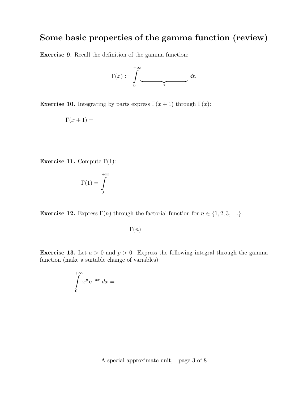# Some basic properties of the gamma function (review)

Exercise 9. Recall the definition of the gamma function:



Exercise 10. Integrating by parts express  $\Gamma(x+1)$  through  $\Gamma(x)$ :

$$
\Gamma(x+1) =
$$

Exercise 11. Compute  $\Gamma(1)$ :

$$
\Gamma(1)=\int\limits_0^{+\infty}
$$

**Exercise 12.** Express  $\Gamma(n)$  through the factorial function for  $n \in \{1, 2, 3, \ldots\}$ .

$$
\Gamma(n) =
$$

**Exercise 13.** Let  $a > 0$  and  $p > 0$ . Express the following integral through the gamma function (make a suitable change of variables):

$$
\int\limits_{0}^{+\infty} x^{p} e^{-ax} dx =
$$

A special approximate unit, page 3 of 8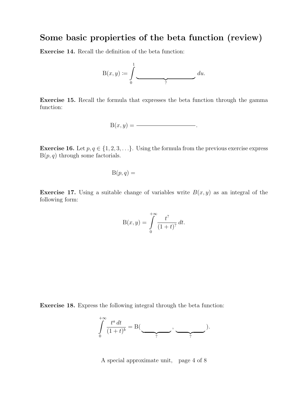#### Some basic propierties of the beta function (review)

Exercise 14. Recall the definition of the beta function:



Exercise 15. Recall the formula that expresses the beta function through the gamma function:

$$
B(x,y) = \underline{\hspace{2cm}}.
$$

**Exercise 16.** Let  $p, q \in \{1, 2, 3, \ldots\}$ . Using the formula from the previous exercise express  $B(p, q)$  through some factorials.

$$
\mathrm{B}(p,q) =
$$

**Exercise 17.** Using a suitable change of variables write  $B(x, y)$  as an integral of the following form:

$$
B(x, y) = \int_{0}^{+\infty} \frac{t^?}{(1+t)^?} dt.
$$

Exercise 18. Express the following integral through the beta function:

$$
\int_{0}^{+\infty} \frac{t^a dt}{(1+t)^b} = B(\underbrace{\qquad}_{?}, \underbrace{\qquad}_{?}).
$$

A special approximate unit, page 4 of 8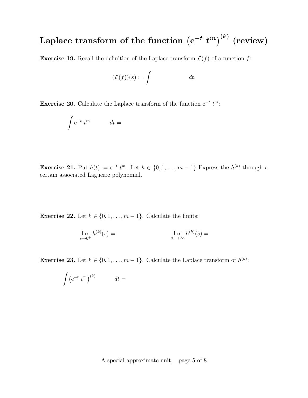# Laplace transform of the function  $\left(\mathrm{e}^{-t} \; t^m\right)^{(k)}$  (review)

**Exercise 19.** Recall the definition of the Laplace transform  $\mathcal{L}(f)$  of a function f:

$$
(\mathcal{L}(f))(s) \coloneqq \int dt.
$$

Exercise 20. Calculate the Laplace transform of the function  $e^{-t} t^m$ :

$$
\int e^{-t} t^m \qquad dt =
$$

**Exercise 21.** Put  $h(t) \coloneqq e^{-t} t^m$ . Let  $k \in \{0, 1, ..., m-1\}$  Express the  $h^{(k)}$  through a certain associated Laguerre polynomial.

**Exercise 22.** Let  $k \in \{0, 1, \ldots, m-1\}$ . Calculate the limits:

$$
\lim_{s \to 0^+} h^{(k)}(s) = \lim_{s \to +\infty} h^{(k)}(s) =
$$

**Exercise 23.** Let  $k \in \{0, 1, \ldots, m-1\}$ . Calculate the Laplace transform of  $h^{(k)}$ :

$$
\int \left(e^{-t} t^m\right)^{(k)} \qquad dt =
$$

A special approximate unit, page 5 of 8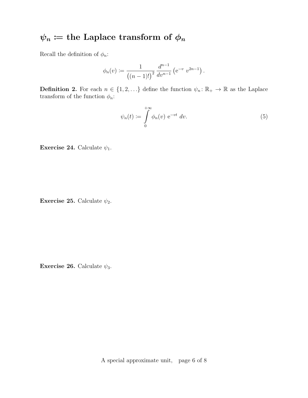# $\psi_n :=$  the Laplace transform of  $\phi_n$

Recall the definition of  $\phi_n$ :

$$
\phi_n(v) := \frac{1}{\left((n-1)!\right)^2} \frac{d^{n-1}}{dv^{n-1}} \left(e^{-v} v^{2n-1}\right).
$$

**Definition 2.** For each  $n \in \{1, 2, ...\}$  define the function  $\psi_n : \mathbb{R}_+ \to \mathbb{R}$  as the Laplace transform of the function  $\phi_n$ :

$$
\psi_n(t) \coloneqq \int_0^{+\infty} \phi_n(v) \, \mathrm{e}^{-vt} \, dv. \tag{5}
$$

Exercise 24. Calculate  $\psi_1$ .

Exercise 25. Calculate  $\psi_2$ .

Exercise 26. Calculate  $\psi_3$ .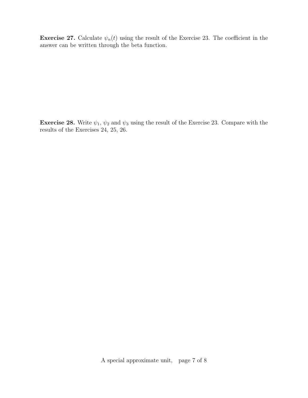**Exercise 27.** Calculate  $\psi_n(t)$  using the result of the Exercise 23. The coefficient in the answer can be written through the beta function.

**Exercise 28.** Write  $\psi_1$ ,  $\psi_2$  and  $\psi_3$  using the result of the Exercise 23. Compare with the results of the Exercises 24, 25, 26.